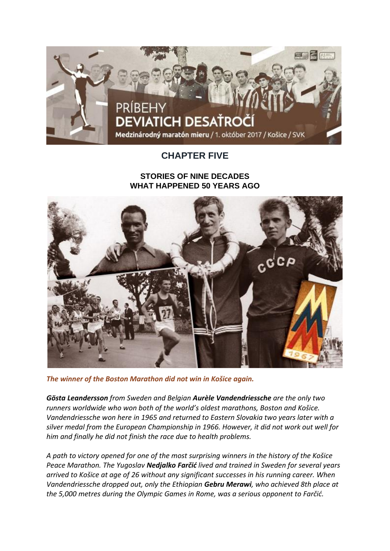

## **CHAPTER FIVE**

## **STORIES OF NINE DECADES WHAT HAPPENED 50 YEARS AGO**



*The winner of the Boston Marathon did not win in Košice again.*

*Gösta Leandersson from Sweden and Belgian Aurèle Vandendriessche are the only two runners worldwide who won both of the world's oldest marathons, Boston and Košice. Vandendriessche won here in 1965 and returned to Eastern Slovakia two years later with a silver medal from the European Championship in 1966. However, it did not work out well for him and finally he did not finish the race due to health problems.*

*A path to victory opened for one of the most surprising winners in the history of the Košice Peace Marathon. The Yugoslav Nedjalko Farčić lived and trained in Sweden for several years arrived to Košice at age of 26 without any significant successes in his running career. When Vandendriessche dropped out, only the Ethiopian Gebru Merawi, who achieved 8th place at the 5,000 metres during the Olympic Games in Rome, was a serious opponent to Farčić.*